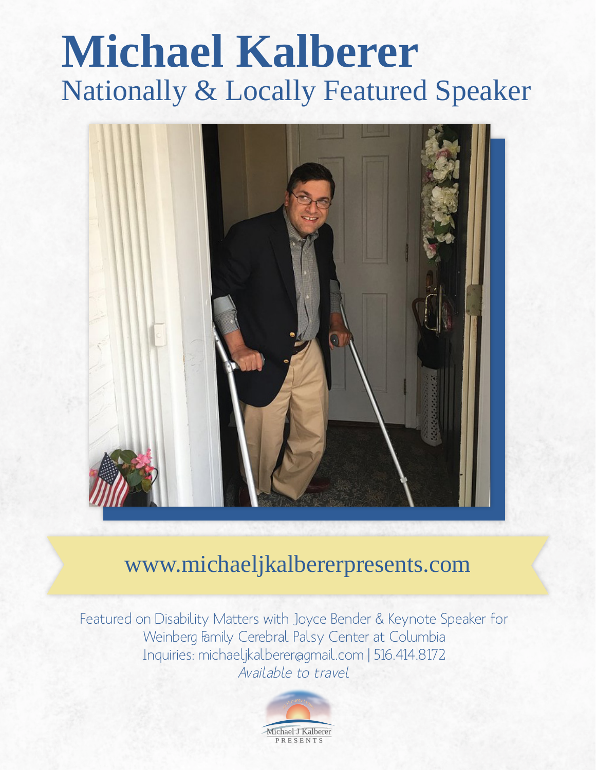# **Michael Kalberer** Nationally & Locally Featured Speaker



# www.michaeljkalbererpresents.com

Featured on Disability Matters with Joyce Bender & Keynote Speaker for Weinberg Family Cerebral Palsy Center at Columbia Inquiries: michaeljkalberer@gmail.com | 516.414.8172 Available to travel